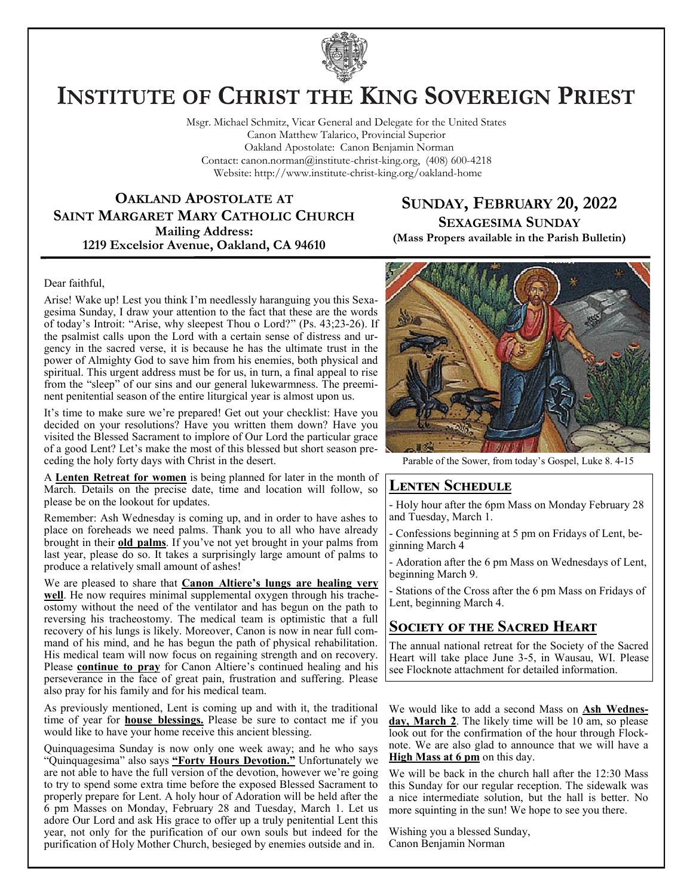

# **INSTITUTE OF CHRIST THE KING SOVEREIGN PRIEST**

Msgr. Michael Schmitz, Vicar General and Delegate for the United States Canon Matthew Talarico, Provincial Superior Oakland Apostolate: Canon Benjamin Norman Contact: canon.norman@institute-christ-king.org, (408) 600-4218 Website: http://www.institute-christ-king.org/oakland-home

**OAKLAND APOSTOLATE AT SAINT MARGARET MARY CATHOLIC CHURCH Mailing Address: 1219 Excelsior Avenue, Oakland, CA 94610**

## **SUNDAY, FEBRUARY 20, 2022 SEXAGESIMA SUNDAY**

**(Mass Propers available in the Parish Bulletin)**

#### Dear faithful,

Arise! Wake up! Lest you think I'm needlessly haranguing you this Sexagesima Sunday, I draw your attention to the fact that these are the words of today's Introit: "Arise, why sleepest Thou o Lord?" (Ps. 43;23-26). If the psalmist calls upon the Lord with a certain sense of distress and urgency in the sacred verse, it is because he has the ultimate trust in the power of Almighty God to save him from his enemies, both physical and spiritual. This urgent address must be for us, in turn, a final appeal to rise from the "sleep" of our sins and our general lukewarmness. The preeminent penitential season of the entire liturgical year is almost upon us.

It's time to make sure we're prepared! Get out your checklist: Have you decided on your resolutions? Have you written them down? Have you visited the Blessed Sacrament to implore of Our Lord the particular grace of a good Lent? Let's make the most of this blessed but short season preceding the holy forty days with Christ in the desert.

A **Lenten Retreat for women** is being planned for later in the month of March. Details on the precise date, time and location will follow, so please be on the lookout for updates.

Remember: Ash Wednesday is coming up, and in order to have ashes to place on foreheads we need palms. Thank you to all who have already brought in their **old palms**. If you've not yet brought in your palms from last year, please do so. It takes a surprisingly large amount of palms to produce a relatively small amount of ashes!

We are pleased to share that **Canon Altiere's lungs are healing very well**. He now requires minimal supplemental oxygen through his tracheostomy without the need of the ventilator and has begun on the path to reversing his tracheostomy. The medical team is optimistic that a full recovery of his lungs is likely. Moreover, Canon is now in near full command of his mind, and he has begun the path of physical rehabilitation. His medical team will now focus on regaining strength and on recovery. Please **continue to pray** for Canon Altiere's continued healing and his perseverance in the face of great pain, frustration and suffering. Please also pray for his family and for his medical team.

As previously mentioned, Lent is coming up and with it, the traditional time of year for **house blessings.** Please be sure to contact me if you would like to have your home receive this ancient blessing.

Quinquagesima Sunday is now only one week away; and he who says "Quinquagesima" also says **"Forty Hours Devotion."** Unfortunately we are not able to have the full version of the devotion, however we're going to try to spend some extra time before the exposed Blessed Sacrament to properly prepare for Lent. A holy hour of Adoration will be held after the 6 pm Masses on Monday, February 28 and Tuesday, March 1. Let us adore Our Lord and ask His grace to offer up a truly penitential Lent this year, not only for the purification of our own souls but indeed for the purification of Holy Mother Church, besieged by enemies outside and in.



Parable of the Sower, from today's Gospel, Luke 8. 4-15

### **Lenten Schedule**

- Holy hour after the 6pm Mass on Monday February 28 and Tuesday, March 1.

- Confessions beginning at 5 pm on Fridays of Lent, beginning March 4

- Adoration after the 6 pm Mass on Wednesdays of Lent, beginning March 9.

Stations of the Cross after the 6 pm Mass on Fridays of Lent, beginning March 4.

## **SOCIETY OF THE SACRED HEART**

The annual national retreat for the Society of the Sacred Heart will take place June 3-5, in Wausau, WI. Please see Flocknote attachment for detailed information.

We would like to add a second Mass on **Ash Wednes**day, March 2. The likely time will be 10 am, so please look out for the confirmation of the hour through Flocknote. We are also glad to announce that we will have a **High Mass at 6 pm** on this day.

We will be back in the church hall after the 12:30 Mass this Sunday for our regular reception. The sidewalk was a nice intermediate solution, but the hall is better. No more squinting in the sun! We hope to see you there.

Wishing you a blessed Sunday, Canon Benjamin Norman